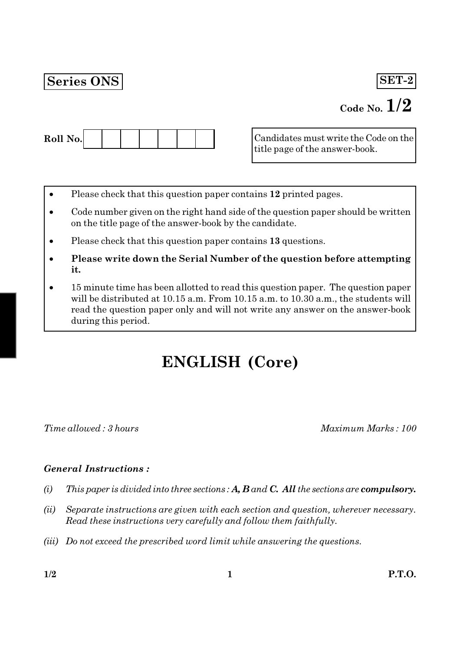## **Series ONS**

 $SET-2$ 

## Code No.  $1/2$



Candidates must write the Code on the title page of the answer-book.

- Please check that this question paper contains 12 printed pages.
- Code number given on the right hand side of the question paper should be written on the title page of the answer-book by the candidate.
- Please check that this question paper contains 13 questions.
- Please write down the Serial Number of the question before attempting it.
- 15 minute time has been allotted to read this question paper. The question paper will be distributed at 10.15 a.m. From 10.15 a.m. to 10.30 a.m., the students will read the question paper only and will not write any answer on the answer-book during this period.

# **ENGLISH (Core)**

Time allowed: 3 hours

Maximum Marks: 100

## **General Instructions:**

- This paper is divided into three sections:  $A, B$  and  $C,$  All the sections are compulsory.  $(i)$
- $(ii)$ Separate instructions are given with each section and question, wherever necessary. Read these instructions very carefully and follow them faithfully.
- (iii) Do not exceed the prescribed word limit while answering the questions.

 $1/2$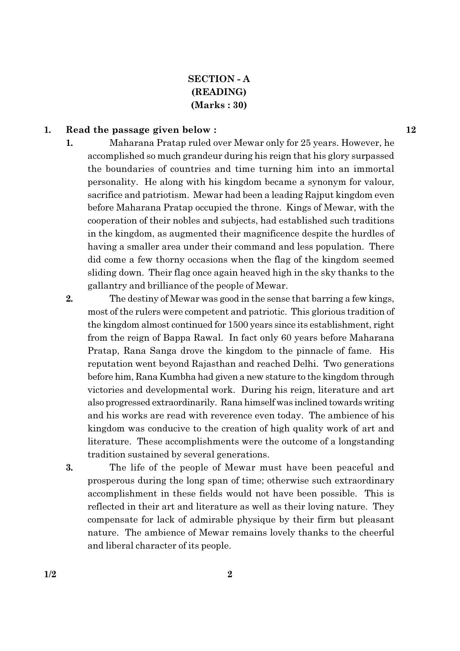## **SECTION - A** (READING)  $(Marks:30)$

#### 1. Read the passage given below:

- 1. Maharana Pratap ruled over Mewar only for 25 years. However, he accomplished so much grandeur during his reign that his glory surpassed the boundaries of countries and time turning him into an immortal personality. He along with his kingdom became a synonym for valour. sacrifice and patriotism. Mewar had been a leading Rajput kingdom even before Maharana Pratap occupied the throne. Kings of Mewar, with the cooperation of their nobles and subjects, had established such traditions in the kingdom, as augmented their magnificence despite the hurdles of having a smaller area under their command and less population. There did come a few thorny occasions when the flag of the kingdom seemed sliding down. Their flag once again heaved high in the sky thanks to the gallantry and brilliance of the people of Mewar.
- $2.$ The destiny of Mewar was good in the sense that barring a few kings, most of the rulers were competent and patriotic. This glorious tradition of the kingdom almost continued for 1500 years since its establishment, right from the reign of Bappa Rawal. In fact only 60 years before Maharana Pratap, Rana Sanga drove the kingdom to the pinnacle of fame. His reputation went beyond Rajasthan and reached Delhi. Two generations before him, Rana Kumbha had given a new stature to the kingdom through victories and developmental work. During his reign, literature and art also progressed extraordinarily. Rana himself was inclined towards writing and his works are read with reverence even today. The ambience of his kingdom was conducive to the creation of high quality work of art and literature. These accomplishments were the outcome of a longstanding tradition sustained by several generations.
- 3. The life of the people of Mewar must have been peaceful and prosperous during the long span of time; otherwise such extraordinary accomplishment in these fields would not have been possible. This is reflected in their art and literature as well as their loving nature. They compensate for lack of admirable physique by their firm but pleasant nature. The ambience of Mewar remains lovely thanks to the cheerful and liberal character of its people.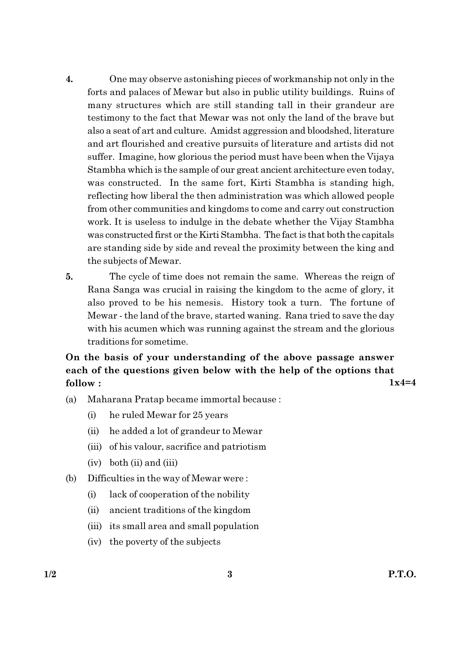- $\boldsymbol{4}$ . One may observe astonishing pieces of workmanship not only in the forts and palaces of Mewar but also in public utility buildings. Ruins of many structures which are still standing tall in their grandeur are testimony to the fact that Mewar was not only the land of the brave but also a seat of art and culture. Amidst aggression and bloodshed, literature and art flourished and creative pursuits of literature and artists did not suffer. Imagine, how glorious the period must have been when the Vijaya Stambha which is the sample of our great ancient architecture even today, was constructed. In the same fort, Kirti Stambha is standing high, reflecting how liberal the then administration was which allowed people from other communities and kingdoms to come and carry out construction work. It is useless to indulge in the debate whether the Vijay Stambha was constructed first or the Kirti Stambha. The fact is that both the capitals are standing side by side and reveal the proximity between the king and the subjects of Mewar.
- 5. The cycle of time does not remain the same. Whereas the reign of Rana Sanga was crucial in raising the kingdom to the acme of glory, it also proved to be his nemesis. History took a turn. The fortune of Mewar - the land of the brave, started waning. Rana tried to save the day with his acumen which was running against the stream and the glorious traditions for sometime.

On the basis of your understanding of the above passage answer each of the questions given below with the help of the options that  $1x4=4$ follow:

- $(a)$ Maharana Pratap became immortal because:
	- $(i)$ he ruled Mewar for 25 years
	- $(ii)$ he added a lot of grandeur to Mewar
	- (iii) of his valour, sacrifice and patriotism
	- $(iv)$  both  $(ii)$  and  $(iii)$
- (b) Difficulties in the way of Mewar were:
	- lack of cooperation of the nobility  $(i)$
	- ancient traditions of the kingdom  $(ii)$
	- (iii) its small area and small population
	- (iv) the poverty of the subjects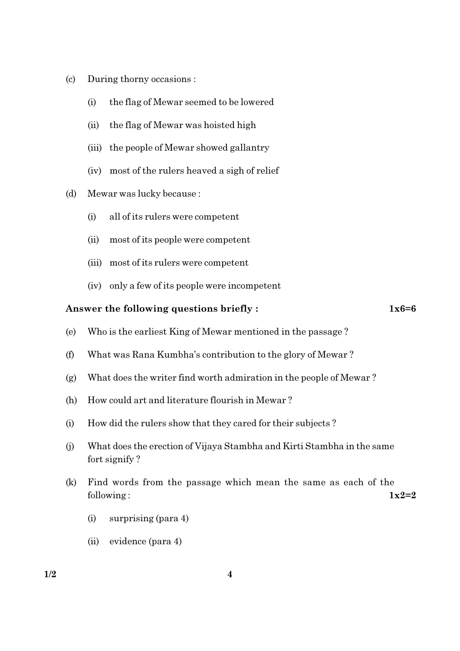- $\left( \mathrm{c}\right)$ During thorny occasions :
	- $(i)$ the flag of Mewar seemed to be lowered
	- $(ii)$ the flag of Mewar was hoisted high
	- (iii) the people of Mewar showed gallantry
	- (iv) most of the rulers heaved a sigh of relief
- Mewar was lucky because:  $(d)$ 
	- all of its rulers were competent  $(i)$
	- $(ii)$ most of its people were competent
	- (iii) most of its rulers were competent
	- (iv) only a few of its people were incompetent

#### Answer the following questions briefly:

 $1x6=6$ 

- Who is the earliest King of Mewar mentioned in the passage? (e)
- What was Rana Kumbha's contribution to the glory of Mewar?  $(f)$
- What does the writer find worth admiration in the people of Mewar?  $(g)$
- $(h)$ How could art and literature flourish in Mewar?
- $(i)$ How did the rulers show that they cared for their subjects?
- What does the erection of Vijaya Stambha and Kirti Stambha in the same  $(i)$ fort signify?
- $(k)$ Find words from the passage which mean the same as each of the following:  $1x2=2$ 
	- surprising (para 4)  $(i)$
	- (ii) evidence (para 4)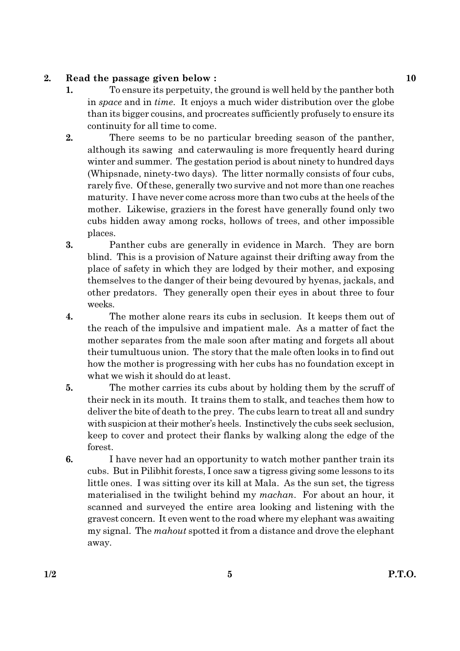#### $2.$ Read the passage given below:

- 1. To ensure its perpetuity, the ground is well held by the panther both in *space* and in *time*. It enjoys a much wider distribution over the globe than its bigger cousins, and procreates sufficiently profusely to ensure its continuity for all time to come.
- $2.$ There seems to be no particular breeding season of the panther, although its sawing and caterwauling is more frequently heard during winter and summer. The gestation period is about ninety to hundred days (Whipsnade, ninety-two days). The litter normally consists of four cubs, rarely five. Of these, generally two survive and not more than one reaches maturity. I have never come across more than two cubs at the heels of the mother. Likewise, graziers in the forest have generally found only two cubs hidden away among rocks, hollows of trees, and other impossible places.
- 3. Panther cubs are generally in evidence in March. They are born blind. This is a provision of Nature against their drifting away from the place of safety in which they are lodged by their mother, and exposing themselves to the danger of their being devoured by hyenas, jackals, and other predators. They generally open their eyes in about three to four weeks.
- $\boldsymbol{4}$ . The mother alone rears its cubs in seclusion. It keeps them out of the reach of the impulsive and impatient male. As a matter of fact the mother separates from the male soon after mating and forgets all about their tumultuous union. The story that the male often looks in to find out how the mother is progressing with her cubs has no foundation except in what we wish it should do at least.
- 5. The mother carries its cubs about by holding them by the scruff of their neck in its mouth. It trains them to stalk, and teaches them how to deliver the bite of death to the prey. The cubs learn to treat all and sundry with suspicion at their mother's heels. Instinctively the cubs seek seclusion, keep to cover and protect their flanks by walking along the edge of the forest.
- I have never had an opportunity to watch mother panther train its 6. cubs. But in Pilibhit forests, I once saw a tigress giving some lessons to its little ones. I was sitting over its kill at Mala. As the sun set, the tigress materialised in the twilight behind my *machan*. For about an hour, it scanned and surveyed the entire area looking and listening with the gravest concern. It even went to the road where my elephant was awaiting my signal. The mahout spotted it from a distance and drove the elephant away.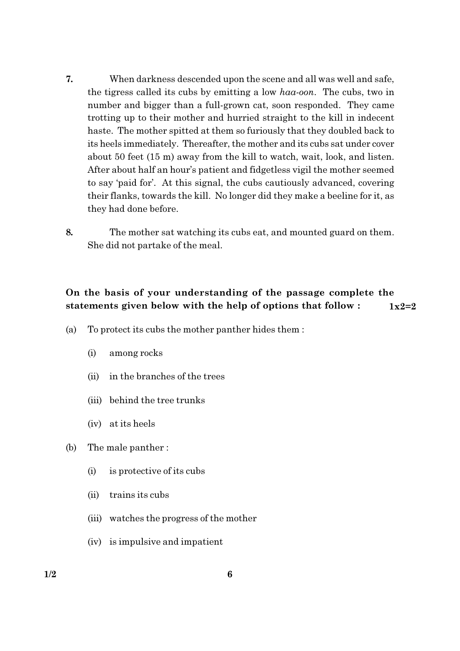- 7. When darkness descended upon the scene and all was well and safe, the tigress called its cubs by emitting a low haa-oon. The cubs, two in number and bigger than a full-grown cat, soon responded. They came trotting up to their mother and hurried straight to the kill in indecent haste. The mother spitted at them so furiously that they doubled back to its heels immediately. Thereafter, the mother and its cubs sat under cover about 50 feet (15 m) away from the kill to watch, wait, look, and listen. After about half an hour's patient and fidgetless vigil the mother seemed to say 'paid for'. At this signal, the cubs cautiously advanced, covering their flanks, towards the kill. No longer did they make a beeline for it, as they had done before.
- 8. The mother sat watching its cubs eat, and mounted guard on them. She did not partake of the meal.

#### On the basis of your understanding of the passage complete the statements given below with the help of options that follow:  $1x2=2$

- To protect its cubs the mother panther hides them : (a)
	- among rocks  $(i)$
	- in the branches of the trees  $(ii)$
	- (iii) behind the tree trunks
	- (iv) at its heels
- $(b)$ The male panther:
	- $(i)$ is protective of its cubs
	- $(ii)$ trains its cubs
	- (iii) watches the progress of the mother
	- (iv) is impulsive and impatient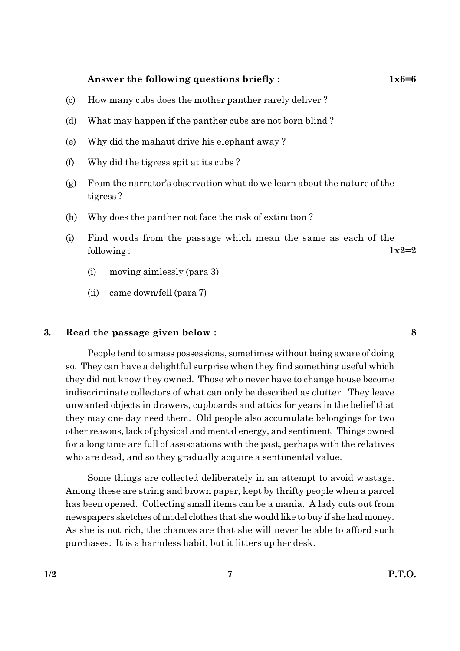#### Answer the following questions briefly:

- $(c)$ How many cubs does the mother panther rarely deliver?
- What may happen if the panther cubs are not born blind? (d)
- Why did the mahaut drive his elephant away?  $(e)$
- Why did the tigress spit at its cubs?  $(f)$
- From the narrator's observation what do we learn about the nature of the  $(g)$ tigress?
- (h) Why does the panther not face the risk of extinction?
- Find words from the passage which mean the same as each of the  $(i)$  $1x2=2$ following:
	- $(i)$ moving aimlessly (para 3)
	- $(ii)$ came down/fell (para 7)

#### 3. Read the passage given below :

People tend to amass possessions, sometimes without being aware of doing so. They can have a delightful surprise when they find something useful which they did not know they owned. Those who never have to change house become indiscriminate collectors of what can only be described as clutter. They leave unwanted objects in drawers, cupboards and attics for years in the belief that they may one day need them. Old people also accumulate belongings for two other reasons, lack of physical and mental energy, and sentiment. Things owned for a long time are full of associations with the past, perhaps with the relatives who are dead, and so they gradually acquire a sentimental value.

Some things are collected deliberately in an attempt to avoid wastage. Among these are string and brown paper, kept by thrifty people when a parcel has been opened. Collecting small items can be a mania. A lady cuts out from newspapers sketches of model clothes that she would like to buy if she had money. As she is not rich, the chances are that she will never be able to afford such purchases. It is a harmless habit, but it litters up her desk.

8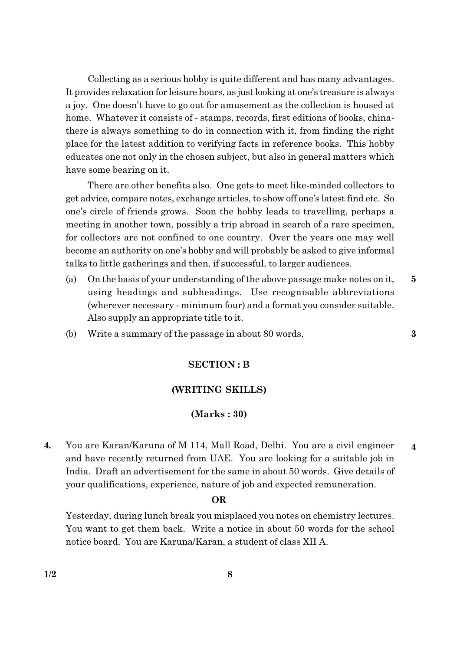Collecting as a serious hobby is quite different and has many advantages. It provides relaxation for leisure hours, as just looking at one's treasure is always a joy. One doesn't have to go out for amusement as the collection is housed at home. Whatever it consists of - stamps, records, first editions of books, chinathere is always something to do in connection with it, from finding the right place for the latest addition to verifying facts in reference books. This hobby educates one not only in the chosen subject, but also in general matters which have some bearing on it.

There are other benefits also. One gets to meet like-minded collectors to get advice, compare notes, exchange articles, to show off one's latest find etc. So one's circle of friends grows. Soon the hobby leads to travelling, perhaps a meeting in another town, possibly a trip abroad in search of a rare specimen, for collectors are not confined to one country. Over the years one may well become an authority on one's hobby and will probably be asked to give informal talks to little gatherings and then, if successful, to larger audiences.

On the basis of your understanding of the above passage make notes on it, (a)  $\overline{5}$ using headings and subheadings. Use recognisable abbreviations (wherever necessary - minimum four) and a format you consider suitable. Also supply an appropriate title to it.

 $\bf{3}$ 

Write a summary of the passage in about 80 words. (b)

#### **SECTION: B**

#### (WRITING SKILLS)

#### $(Marks:30)$

You are Karan/Karuna of M 114, Mall Road, Delhi. You are a civil engineer  $\overline{4}$ .  $\overline{\mathbf{4}}$ and have recently returned from UAE. You are looking for a suitable job in India. Draft an advertisement for the same in about 50 words. Give details of your qualifications, experience, nature of job and expected remuneration.

#### **OR**

Yesterday, during lunch break you misplaced you notes on chemistry lectures. You want to get them back. Write a notice in about 50 words for the school notice board. You are Karuna/Karan, a student of class XII A.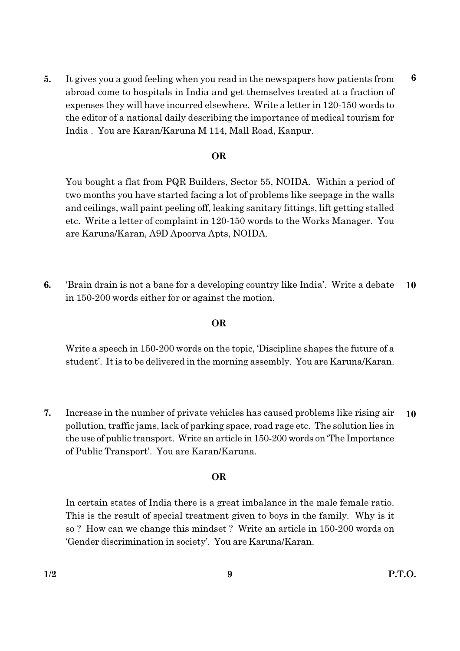It gives you a good feeling when you read in the newspapers how patients from 5. abroad come to hospitals in India and get themselves treated at a fraction of expenses they will have incurred elsewhere. Write a letter in 120-150 words to the editor of a national daily describing the importance of medical tourism for India. You are Karan/Karuna M 114, Mall Road, Kanpur.

#### **OR**

You bought a flat from PQR Builders, Sector 55, NOIDA. Within a period of two months you have started facing a lot of problems like seepage in the walls and ceilings, wall paint peeling off, leaking sanitary fittings, lift getting stalled etc. Write a letter of complaint in 120-150 words to the Works Manager. You are Karuna/Karan, A9D Apoorva Apts, NOIDA.

6. 'Brain drain is not a bane for a developing country like India'. Write a debate  $10$ in 150-200 words either for or against the motion.

#### **OR**

Write a speech in 150-200 words on the topic, Discipline shapes the future of a student'. It is to be delivered in the morning assembly. You are Karuna/Karan.

7. Increase in the number of private vehicles has caused problems like rising air  $10$ pollution, traffic jams, lack of parking space, road rage etc. The solution lies in the use of public transport. Write an article in 150-200 words on The Importance of Public Transport'. You are Karan/Karuna.

#### **OR**

In certain states of India there is a great imbalance in the male female ratio. This is the result of special treatment given to boys in the family. Why is it so? How can we change this mindset? Write an article in 150-200 words on 'Gender discrimination in society'. You are Karuna/Karan.

 $6\phantom{1}6$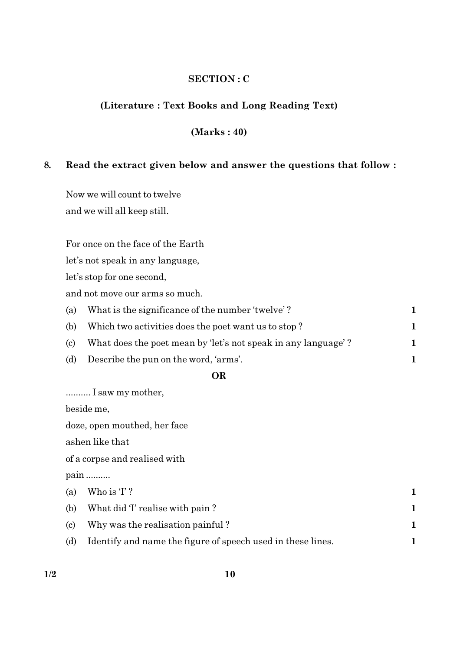#### **SECTION: C**

#### (Literature: Text Books and Long Reading Text)

### $(Marks: 40)$

#### 8. Read the extract given below and answer the questions that follow :

Now we will count to twelve and we will all keep still.

For once on the face of the Earth

let's not speak in any language,

let's stop for one second,

and not move our arms so much.

|     | (a) What is the significance of the number 'twelve'?          |  |
|-----|---------------------------------------------------------------|--|
| (b) | Which two activities does the poet want us to stop?           |  |
| (c) | What does the poet mean by 'let's not speak in any language'? |  |
| (d) | Describe the pun on the word, 'arms'.                         |  |

#### **OR**

.......... I saw my mother,

beside me,

doze, open mouthed, her face

ashen like that

of a corpse and realised with

pain .........

|     | (a) Who is $T$ ?                                            |  |
|-----|-------------------------------------------------------------|--|
| (b) | What did T realise with pain?                               |  |
| (c) | Why was the realisation painful?                            |  |
| (d) | Identify and name the figure of speech used in these lines. |  |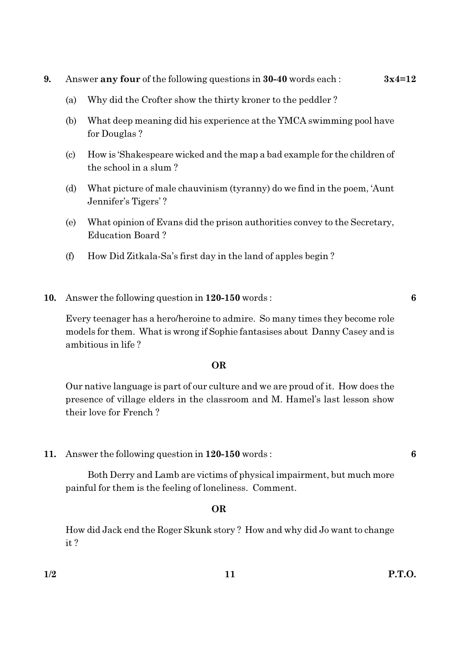- 9. Answer any four of the following questions in 30-40 words each:  $3x4=12$ 
	- Why did the Crofter show the thirty kroner to the peddler? (a)
	- What deep meaning did his experience at the YMCA swimming pool have (b) for Douglas?
	- How is 'Shakespeare wicked and the map a bad example for the children of (c) the school in a slum?
	- What picture of male chauvinism (tyranny) do we find in the poem, 'Aunt (d) Jennifer's Tigers'?
	- What opinion of Evans did the prison authorities convey to the Secretary, (e) **Education Board?**
	- How Did Zitkala-Sa's first day in the land of apples begin?  $(f)$
- 10. Answer the following question in 120-150 words:

Every teenager has a hero/heroine to admire. So many times they become role models for them. What is wrong if Sophie fantasises about Danny Casey and is ambitious in life?

#### **OR**

Our native language is part of our culture and we are proud of it. How does the presence of village elders in the classroom and M. Hamel's last lesson show their love for French?

Answer the following question in 120-150 words: 11.

Both Derry and Lamb are victims of physical impairment, but much more painful for them is the feeling of loneliness. Comment.

### **OR**

How did Jack end the Roger Skunk story? How and why did Jo want to change  $it?$ 

6

6